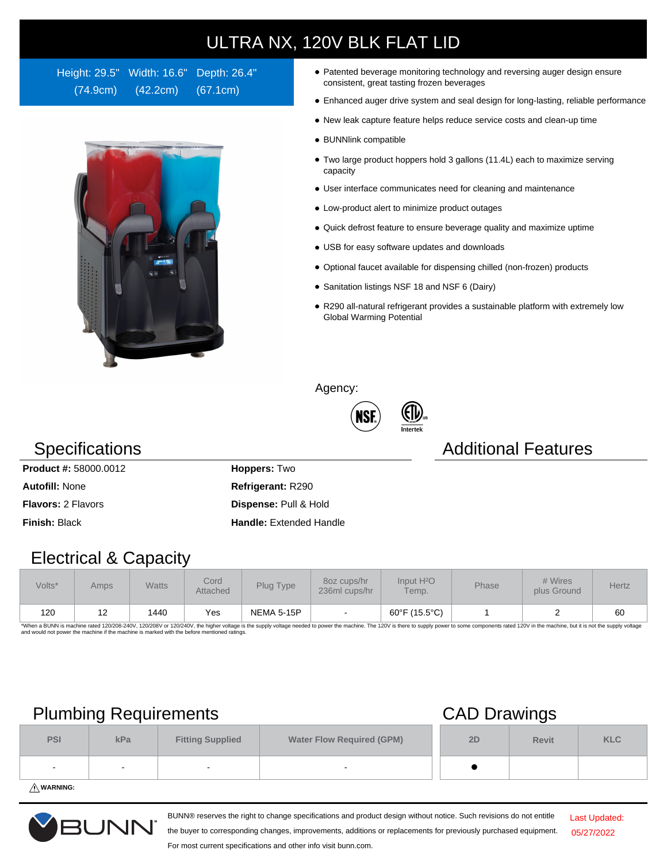# ULTRA NX, 120V BLK FLAT LID

Height: 29.5" Width: 16.6" Depth: 26.4" (74.9cm) (42.2cm) (67.1cm)



- Patented beverage monitoring technology and reversing auger design ensure consistent, great tasting frozen beverages
- Enhanced auger drive system and seal design for long-lasting, reliable performance
- New leak capture feature helps reduce service costs and clean-up time
- BUNNlink compatible
- Two large product hoppers hold 3 gallons (11.4L) each to maximize serving capacity
- User interface communicates need for cleaning and maintenance
- Low-product alert to minimize product outages
- Quick defrost feature to ensure beverage quality and maximize uptime
- USB for easy software updates and downloads
- Optional faucet available for dispensing chilled (non-frozen) products
- Sanitation listings NSF 18 and NSF 6 (Dairy)

(FI)

R290 all-natural refrigerant provides a sustainable platform with extremely low Global Warming Potential

Agency:



### Specifications **Additional Features** Additional Features

**Product #:** 58000.0012 **Hoppers:** Two **Autofill:** None **Refrigerant:** R290 **Flavors:** 2 Flavors **Dispense:** Pull & Hold **Finish:** Black **Handle:** Extended Handle

### Electrical & Capacity

| Volts* | Amps <sup>1</sup> | <b>Watts</b> | Cord<br>Attached | Plug Type         | 80z cups/hr<br>236ml cups/hr | Input H <sup>2</sup> O<br>Temp. | Phase | # Wires<br>plus Ground | Hertz |
|--------|-------------------|--------------|------------------|-------------------|------------------------------|---------------------------------|-------|------------------------|-------|
| 120    | ١۷                | 1440         | Yes              | <b>NEMA 5-15P</b> | $\sim$                       | 60°F (15.5°C)                   |       |                        | 60    |

\*When a BUNN is machine rated 120/208-240V, 120/208V or 120/240V, the higher voltage is the supply voltage needed to power the machine. The 120V is there to supply power to some components rated 120V in the machine, but it

## Plumbing Requirements CAD Drawings

|                                                                 |     |                         | -                                |    |              |            |
|-----------------------------------------------------------------|-----|-------------------------|----------------------------------|----|--------------|------------|
| <b>PSI</b>                                                      | kPa | <b>Fitting Supplied</b> | <b>Water Flow Required (GPM)</b> | 2D | <b>Revit</b> | <b>KLC</b> |
|                                                                 |     |                         |                                  |    |              |            |
| $\mathbf{A}$ and $\mathbf{A}$ and $\mathbf{A}$ and $\mathbf{A}$ |     |                         |                                  |    |              |            |

**WARNING:**



BUNN® reserves the right to change specifications and product design without notice. Such revisions do not entitle the buyer to corresponding changes, improvements, additions or replacements for previously purchased equipment.

Last Updated: 05/27/2022

For most current specifications and other info visit bunn.com.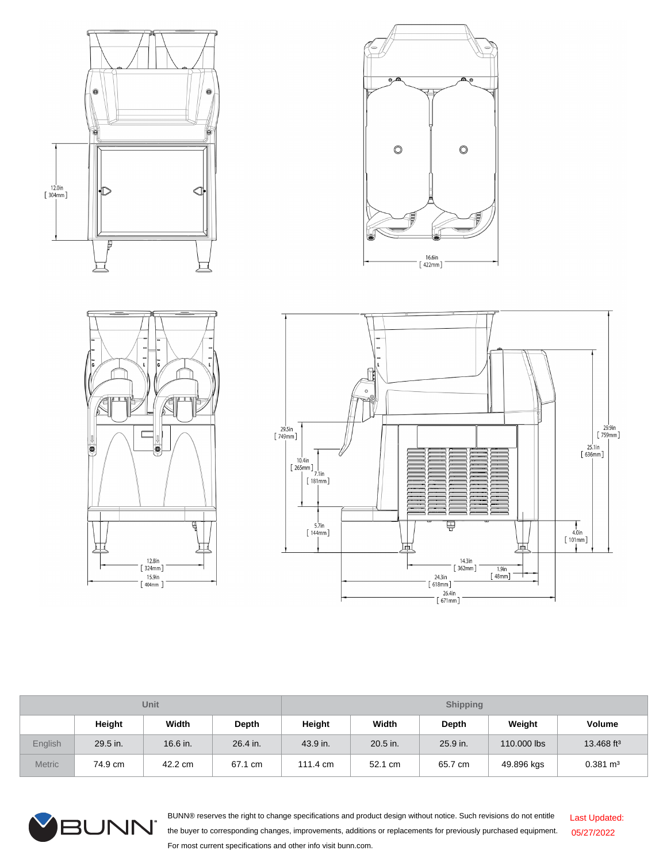







| Unit          |          |          |            | <b>Shipping</b> |          |          |             |                        |
|---------------|----------|----------|------------|-----------------|----------|----------|-------------|------------------------|
|               | Height   | Width    | Depth      | Height          | Width    | Depth    | Weight      | <b>Volume</b>          |
| English       | 29.5 in. | 16.6 in. | $26.4$ in. | 43.9 in.        | 20.5 in. | 25.9 in. | 110,000 lbs | 13.468 ft <sup>3</sup> |
| <b>Metric</b> | 74.9 cm  | 42.2 cm  | 67.1 cm    | 111.4 cm        | 52.1 cm  | 65.7 cm  | 49.896 kgs  | $0.381 \text{ m}^3$    |



BUNN® reserves the right to change specifications and product design without notice. Such revisions do not entitle the buyer to corresponding changes, improvements, additions or replacements for previously purchased equipment. For most current specifications and other info visit bunn.com. Last Updated: 05/27/2022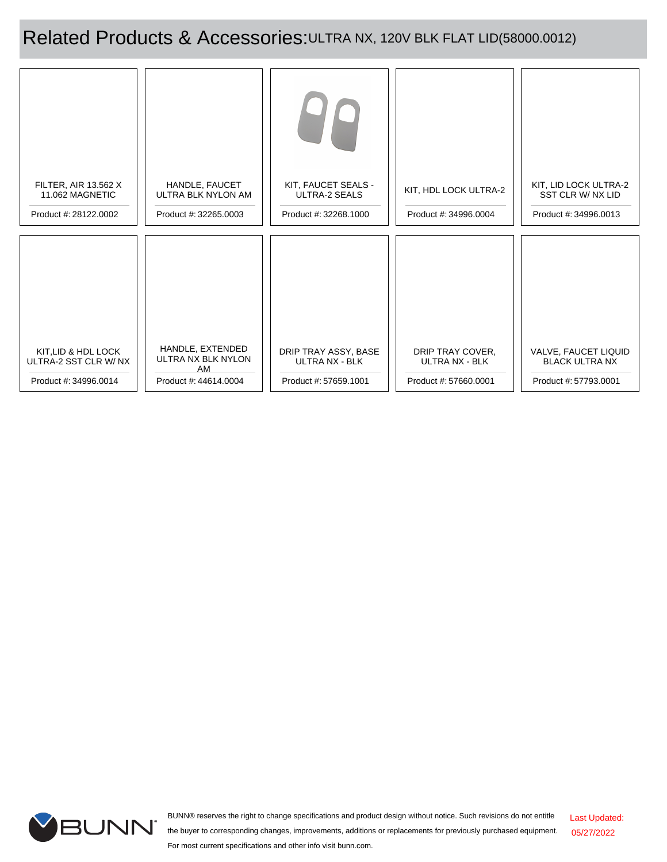Related Products & Accessories: ULTRA NX, 120V BLK FLAT LID(58000.0012)